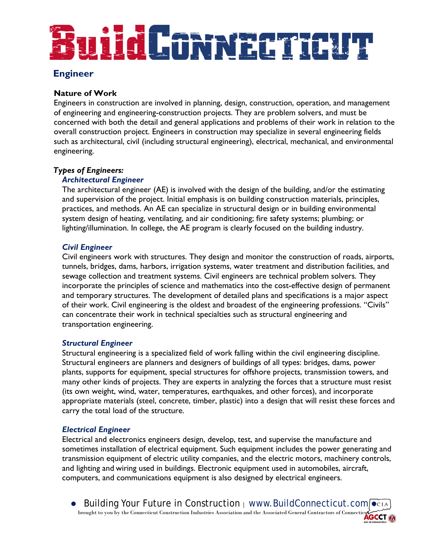# uiid Connier raut

## **Engineer**

## **Nature of Work**

Engineers in construction are involved in planning, design, construction, operation, and management of engineering and engineering-construction projects. They are problem solvers, and must be concerned with both the detail and general applications and problems of their work in relation to the overall construction project. Engineers in construction may specialize in several engineering fields such as architectural, civil (including structural engineering), electrical, mechanical, and environmental engineering.

## *Types of Engineers:*

## *Architectural Engineer*

The architectural engineer (AE) is involved with the design of the building, and/or the estimating and supervision of the project. Initial emphasis is on building construction materials, principles, practices, and methods. An AE can specialize in structural design or in building environmental system design of heating, ventilating, and air conditioning; fire safety systems; plumbing; or lighting/illumination. In college, the AE program is clearly focused on the building industry.

## *Civil Engineer*

Civil engineers work with structures. They design and monitor the construction of roads, airports, tunnels, bridges, dams, harbors, irrigation systems, water treatment and distribution facilities, and sewage collection and treatment systems. Civil engineers are technical problem solvers. They incorporate the principles of science and mathematics into the cost-effective design of permanent and temporary structures. The development of detailed plans and specifications is a major aspect of their work. Civil engineering is the oldest and broadest of the engineering professions. "Civils" can concentrate their work in technical specialties such as structural engineering and transportation engineering.

## *Structural Engineer*

Structural engineering is a specialized field of work falling within the civil engineering discipline. Structural engineers are planners and designers of buildings of all types: bridges, dams, power plants, supports for equipment, special structures for offshore projects, transmission towers, and many other kinds of projects. They are experts in analyzing the forces that a structure must resist (its own weight, wind, water, temperatures, earthquakes, and other forces), and incorporate appropriate materials (steel, concrete, timber, plastic) into a design that will resist these forces and carry the total load of the structure.

## *Electrical Engineer*

Electrical and electronics engineers design, develop, test, and supervise the manufacture and sometimes installation of electrical equipment. Such equipment includes the power generating and transmission equipment of electric utility companies, and the electric motors, machinery controls, and lighting and wiring used in buildings. Electronic equipment used in automobiles, aircraft, computers, and communications equipment is also designed by electrical engineers.

Building Your Future in Construction | [www.BuildConnecticut.com](http://www.buildconnecticut.com/)  $\bullet$  CIA brought to you by the Connecticut Construction Industries Association and the Associated General Contractors of Connecticut